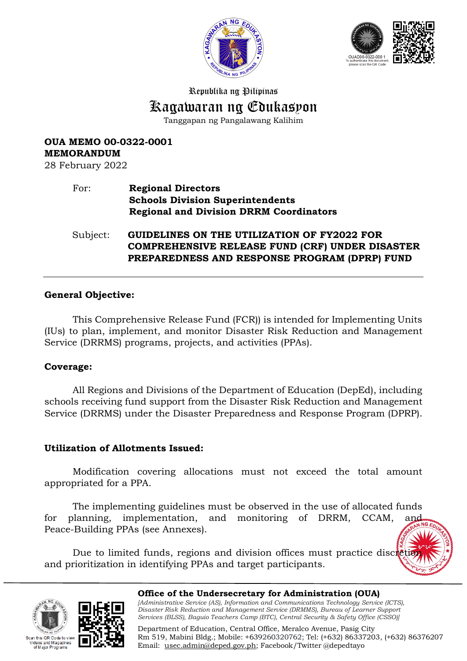



Republika ng Pilipinas

# Kagawaran ng Edukasyon

Tanggapan ng Pangalawang Kalihim

# **OUA MEMO 00-0322-0001 MEMORANDUM**

28 February 2022

### For: **Regional Directors Schools Division Superintendents Regional and Division DRRM Coordinators**

Subject: **GUIDELINES ON THE UTILIZATION OF FY2022 FOR COMPREHENSIVE RELEASE FUND (CRF) UNDER DISASTER PREPAREDNESS AND RESPONSE PROGRAM (DPRP) FUND** 

### **General Objective:**

This Comprehensive Release Fund (FCR)) is intended for Implementing Units (IUs) to plan, implement, and monitor Disaster Risk Reduction and Management Service (DRRMS) programs, projects, and activities (PPAs).

#### **Coverage:**

All Regions and Divisions of the Department of Education (DepEd), including schools receiving fund support from the Disaster Risk Reduction and Management Service (DRRMS) under the Disaster Preparedness and Response Program (DPRP).

### **Utilization of Allotments Issued:**

Modification covering allocations must not exceed the total amount appropriated for a PPA.

The implementing guidelines must be observed in the use of allocated funds for planning, implementation, and monitoring of DRRM, CCAM, Peace-Building PPAs (see Annexes).

Due to limited funds, regions and division offices must practice discretion and prioritization in identifying PPAs and target participants.





**Office of the Undersecretary for Administration (OUA)** *[Administrative Service (AS), Information and Communications Technology Service (ICTS), Disaster Risk Reduction and Management Service (DRMMS), Bureau of Learner Support Services (BLSS), Baguio Teachers Camp (BTC), Central Security & Safety Office (CSSO)]*

Department of Education, Central Office, Meralco Avenue, Pasig City Rm 519, Mabini Bldg.; Mobile: +639260320762; Tel: (+632) 86337203, (+632) 86376207 Email: [usec.admin@deped.gov.ph;](mailto:usec.admin@deped.gov.ph) Facebook/Twitter @depedtayo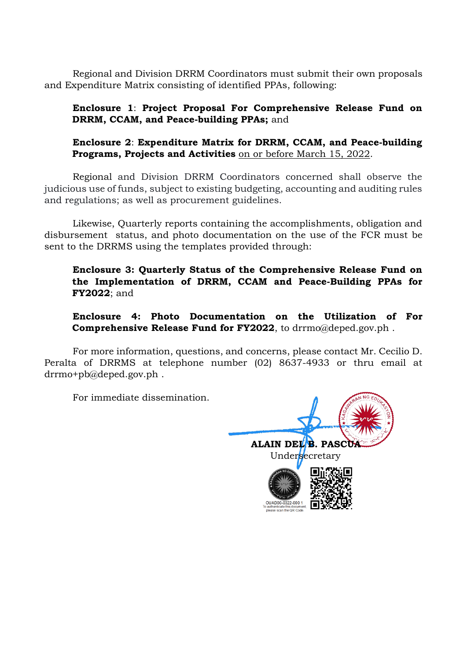Regional and Division DRRM Coordinators must submit their own proposals and Expenditure Matrix consisting of identified PPAs, following:

**Enclosure 1**: **Project Proposal For Comprehensive Release Fund on DRRM, CCAM, and Peace-building PPAs;** and

**Enclosure 2**: **Expenditure Matrix for DRRM, CCAM, and Peace-building Programs, Projects and Activities** on or before March 15, 2022.

Regional and Division DRRM Coordinators concerned shall observe the judicious use of funds, subject to existing budgeting, accounting and auditing rules and regulations; as well as procurement guidelines.

Likewise, Quarterly reports containing the accomplishments, obligation and disbursement status, and photo documentation on the use of the FCR must be sent to the DRRMS using the templates provided through:

**Enclosure 3: Quarterly Status of the Comprehensive Release Fund on the Implementation of DRRM, CCAM and Peace-Building PPAs for FY2022**; and

**Enclosure 4: Photo Documentation on the Utilization of For Comprehensive Release Fund for FY2022**, to [drrmo@deped.gov.ph](mailto:drrmo@deped.gov.ph) .

For more information, questions, and concerns, please contact Mr. Cecilio D. Peralta of DRRMS at telephone number (02) 8637-4933 or thru email at [drrmo+pb@deped.gov.ph](mailto:drrmo+pb@deped.gov.ph) .

For immediate dissemination.

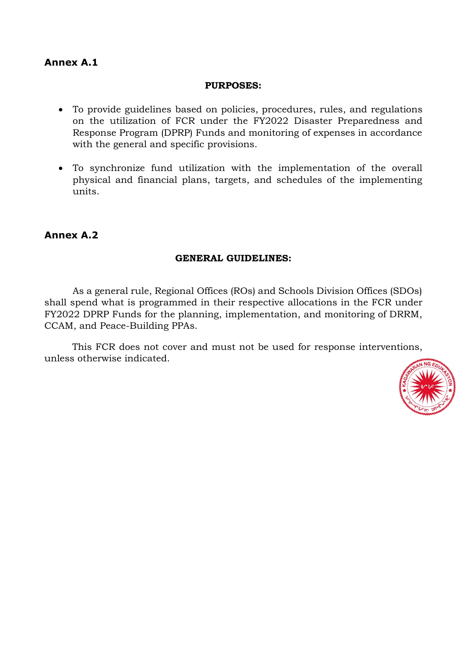## **Annex A.1**

#### **PURPOSES:**

- To provide guidelines based on policies, procedures, rules, and regulations on the utilization of FCR under the FY2022 Disaster Preparedness and Response Program (DPRP) Funds and monitoring of expenses in accordance with the general and specific provisions.
- To synchronize fund utilization with the implementation of the overall physical and financial plans, targets, and schedules of the implementing units.

### **Annex A.2**

#### **GENERAL GUIDELINES:**

As a general rule, Regional Offices (ROs) and Schools Division Offices (SDOs) shall spend what is programmed in their respective allocations in the FCR under FY2022 DPRP Funds for the planning, implementation, and monitoring of DRRM, CCAM, and Peace-Building PPAs.

This FCR does not cover and must not be used for response interventions, unless otherwise indicated.

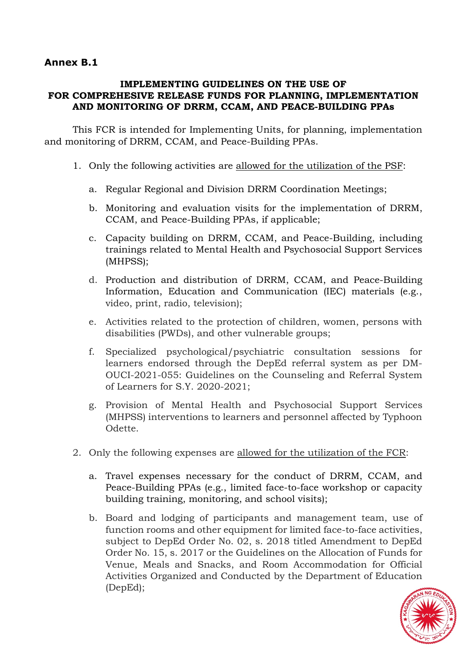## **Annex B.1**

### **IMPLEMENTING GUIDELINES ON THE USE OF FOR COMPREHESIVE RELEASE FUNDS FOR PLANNING, IMPLEMENTATION AND MONITORING OF DRRM, CCAM, AND PEACE-BUILDING PPAs**

This FCR is intended for Implementing Units, for planning, implementation and monitoring of DRRM, CCAM, and Peace-Building PPAs.

- 1. Only the following activities are allowed for the utilization of the PSF:
	- a. Regular Regional and Division DRRM Coordination Meetings;
	- b. Monitoring and evaluation visits for the implementation of DRRM, CCAM, and Peace-Building PPAs, if applicable;
	- c. Capacity building on DRRM, CCAM, and Peace-Building, including trainings related to Mental Health and Psychosocial Support Services (MHPSS);
	- d. Production and distribution of DRRM, CCAM, and Peace-Building Information, Education and Communication (IEC) materials (e.g., video, print, radio, television);
	- e. Activities related to the protection of children, women, persons with disabilities (PWDs), and other vulnerable groups;
	- f. Specialized psychological/psychiatric consultation sessions for learners endorsed through the DepEd referral system as per DM-OUCI-2021-055: Guidelines on the Counseling and Referral System of Learners for S.Y. 2020-2021;
	- g. Provision of Mental Health and Psychosocial Support Services (MHPSS) interventions to learners and personnel affected by Typhoon Odette.
- 2. Only the following expenses are allowed for the utilization of the FCR:
	- a. Travel expenses necessary for the conduct of DRRM, CCAM, and Peace-Building PPAs (e.g., limited face-to-face workshop or capacity building training, monitoring, and school visits);
	- b. Board and lodging of participants and management team, use of function rooms and other equipment for limited face-to-face activities, subject to DepEd Order No. 02, s. 2018 titled Amendment to DepEd Order No. 15, s. 2017 or the Guidelines on the Allocation of Funds for Venue, Meals and Snacks, and Room Accommodation for Official Activities Organized and Conducted by the Department of Education (DepEd);

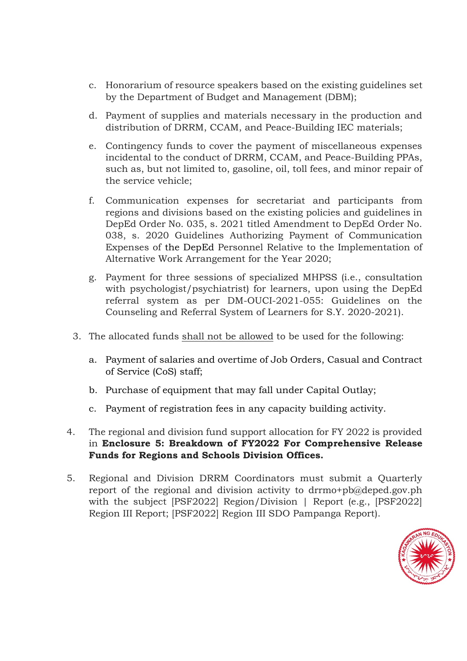- c. Honorarium of resource speakers based on the existing guidelines set by the Department of Budget and Management (DBM);
- d. Payment of supplies and materials necessary in the production and distribution of DRRM, CCAM, and Peace-Building IEC materials;
- e. Contingency funds to cover the payment of miscellaneous expenses incidental to the conduct of DRRM, CCAM, and Peace-Building PPAs, such as, but not limited to, gasoline, oil, toll fees, and minor repair of the service vehicle;
- f. Communication expenses for secretariat and participants from regions and divisions based on the existing policies and guidelines in DepEd Order No. 035, s. 2021 titled Amendment to DepEd Order No. 038, s. 2020 Guidelines Authorizing Payment of Communication Expenses of the DepEd Personnel Relative to the Implementation of Alternative Work Arrangement for the Year 2020;
- g. Payment for three sessions of specialized MHPSS (i.e., consultation with psychologist/psychiatrist) for learners, upon using the DepEd referral system as per DM-OUCI-2021-055: Guidelines on the Counseling and Referral System of Learners for S.Y. 2020-2021).
- 3. The allocated funds shall not be allowed to be used for the following:
	- a. Payment of salaries and overtime of Job Orders, Casual and Contract of Service (CoS) staff;
	- b. Purchase of equipment that may fall under Capital Outlay;
	- c. Payment of registration fees in any capacity building activity.
- 4. The regional and division fund support allocation for FY 2022 is provided in **Enclosure 5: Breakdown of FY2022 For Comprehensive Release Funds for Regions and Schools Division Offices.**
- 5. Regional and Division DRRM Coordinators must submit a Quarterly report of the regional and division activity to drrmo+pb@deped.gov.ph with the subject [PSF2022] Region/Division | Report (e.g., [PSF2022] Region III Report; [PSF2022] Region III SDO Pampanga Report).

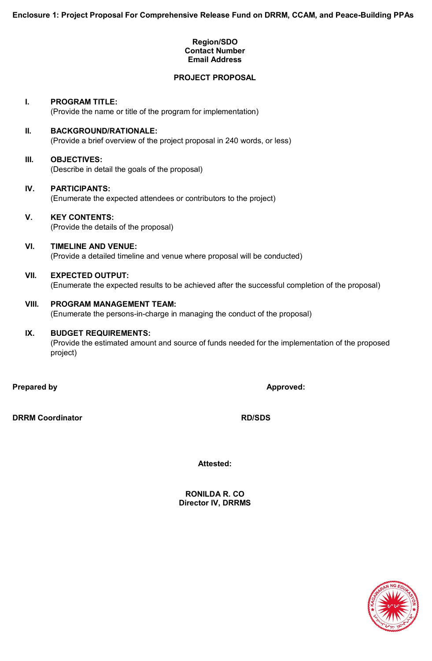#### **Region/SDO Contact Number Email Address**

#### **PROJECT PROPOSAL**

### **I. PROGRAM TITLE:**

(Provide the name or title of the program for implementation)

#### **II. BACKGROUND/RATIONALE:**

(Provide a brief overview of the project proposal in 240 words, or less)

#### **III. OBJECTIVES:**

(Describe in detail the goals of the proposal)

#### **IV. PARTICIPANTS:**

(Enumerate the expected attendees or contributors to the project)

#### **V. KEY CONTENTS:**

(Provide the details of the proposal)

#### **VI. TIMELINE AND VENUE:** (Provide a detailed timeline and venue where proposal will be conducted)

## **VII. EXPECTED OUTPUT:**

(Enumerate the expected results to be achieved after the successful completion of the proposal)

#### **VIII. PROGRAM MANAGEMENT TEAM:**

(Enumerate the persons-in-charge in managing the conduct of the proposal)

#### **IX. BUDGET REQUIREMENTS:**

(Provide the estimated amount and source of funds needed for the implementation of the proposed project)

**Prepared by Approved:** 

**DRRM Coordinator RD/SDS**

**Attested:** 

**RONILDA R. CO Director IV, DRRMS**

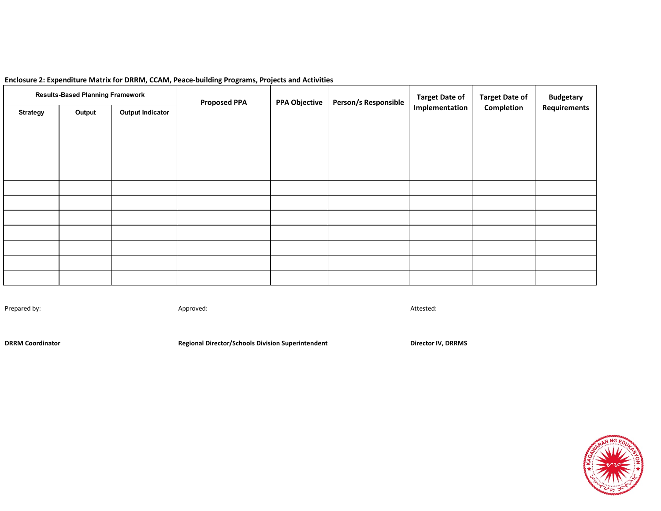| <b>Results-Based Planning Framework</b> |        |                         | <b>Proposed PPA</b> | <b>PPA Objective</b> | Person/s Responsible | <b>Target Date of</b> | <b>Target Date of</b> | <b>Budgetary</b> |  |
|-----------------------------------------|--------|-------------------------|---------------------|----------------------|----------------------|-----------------------|-----------------------|------------------|--|
| <b>Strategy</b>                         | Output | <b>Output Indicator</b> |                     |                      |                      | Implementation        | Completion            | Requirements     |  |
|                                         |        |                         |                     |                      |                      |                       |                       |                  |  |
|                                         |        |                         |                     |                      |                      |                       |                       |                  |  |
|                                         |        |                         |                     |                      |                      |                       |                       |                  |  |
|                                         |        |                         |                     |                      |                      |                       |                       |                  |  |
|                                         |        |                         |                     |                      |                      |                       |                       |                  |  |
|                                         |        |                         |                     |                      |                      |                       |                       |                  |  |
|                                         |        |                         |                     |                      |                      |                       |                       |                  |  |
|                                         |        |                         |                     |                      |                      |                       |                       |                  |  |
|                                         |        |                         |                     |                      |                      |                       |                       |                  |  |
|                                         |        |                         |                     |                      |                      |                       |                       |                  |  |
|                                         |        |                         |                     |                      |                      |                       |                       |                  |  |

#### **Enclosure 2: Expenditure Matrix for DRRM, CCAM, Peace-building Programs, Projects and Activities**

Prepared by: Approved: Attested:

**DRRM Coordinator Regional Director/Schools Division Superintendent Director IV, DRRMS** 

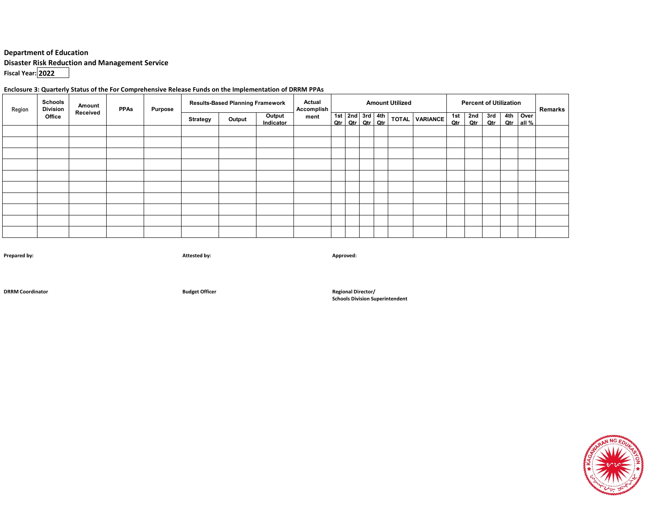#### **Department of Education**

**Disaster Risk Reduction and Management Service**

**Fiscal Year: 2022**

#### **Enclosure 3: Quarterly Status of the For Comprehensive Release Funds on the Implementation of DRRM PPAs**

| Region | <b>Schools</b><br><b>Division</b> | Amount                      | <b>PPAs</b> | <b>Purpose</b>      |      | <b>Results-Based Planning Framework</b> |  | <b>Actual</b><br>Accomplish | <b>Amount Utilized</b> |                |            | <b>Percent of Utilization</b> | Remarks    |                       |  |  |  |  |
|--------|-----------------------------------|-----------------------------|-------------|---------------------|------|-----------------------------------------|--|-----------------------------|------------------------|----------------|------------|-------------------------------|------------|-----------------------|--|--|--|--|
|        | Office                            | Received<br><b>Strategy</b> | Output      | Output<br>Indicator | ment |                                         |  | Qtr   Qtr   Qtr   Qtr       | 1st $2nd$ 3rd 4th      | TOTAL VARIANCE | 1st<br>Qtr | 2nd<br>Qtr                    | 3rd<br>Qtr | 4th Over<br>Qtr all % |  |  |  |  |
|        |                                   |                             |             |                     |      |                                         |  |                             |                        |                |            |                               |            |                       |  |  |  |  |
|        |                                   |                             |             |                     |      |                                         |  |                             |                        |                |            |                               |            |                       |  |  |  |  |
|        |                                   |                             |             |                     |      |                                         |  |                             |                        |                |            |                               |            |                       |  |  |  |  |
|        |                                   |                             |             |                     |      |                                         |  |                             |                        |                |            |                               |            |                       |  |  |  |  |
|        |                                   |                             |             |                     |      |                                         |  |                             |                        |                |            |                               |            |                       |  |  |  |  |
|        |                                   |                             |             |                     |      |                                         |  |                             |                        |                |            |                               |            |                       |  |  |  |  |
|        |                                   |                             |             |                     |      |                                         |  |                             |                        |                |            |                               |            |                       |  |  |  |  |
|        |                                   |                             |             |                     |      |                                         |  |                             |                        |                |            |                               |            |                       |  |  |  |  |
|        |                                   |                             |             |                     |      |                                         |  |                             |                        |                |            |                               |            |                       |  |  |  |  |
|        |                                   |                             |             |                     |      |                                         |  |                             |                        |                |            |                               |            |                       |  |  |  |  |

**Prepared by: Attested by: Approved:**

**DRRM Coordinator Budget Officer Regional Director/**

**Schools Division Superintendent**

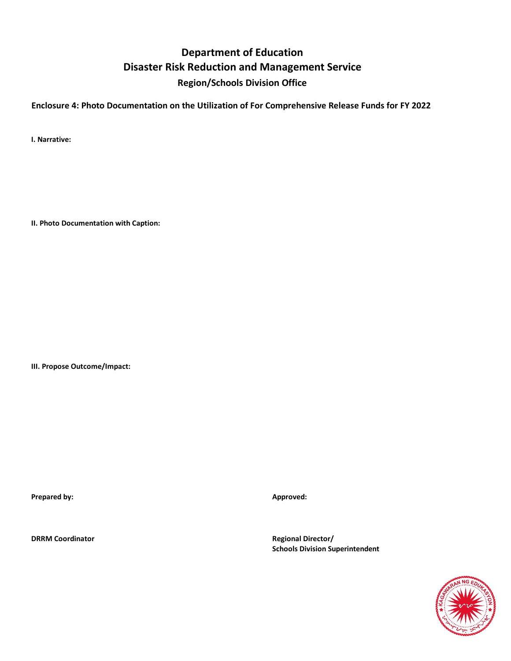# **Department of Education Disaster Risk Reduction and Management Service Region/Schools Division Office**

**Enclosure 4: Photo Documentation on the Utilization of For Comprehensive Release Funds for FY 2022**

**I. Narrative:**

**II. Photo Documentation with Caption:**

**III. Propose Outcome/Impact:**

**Prepared by: Approved: Approved: Approved: Approved: Approved: Approved: Approved: Approved: Approved: Approved: Approved: Approved: Approved: Approved: Approved: Approved: Approved: Ap** 

**DRRM Coordinator Regional Director/ Schools Division Superintendent**

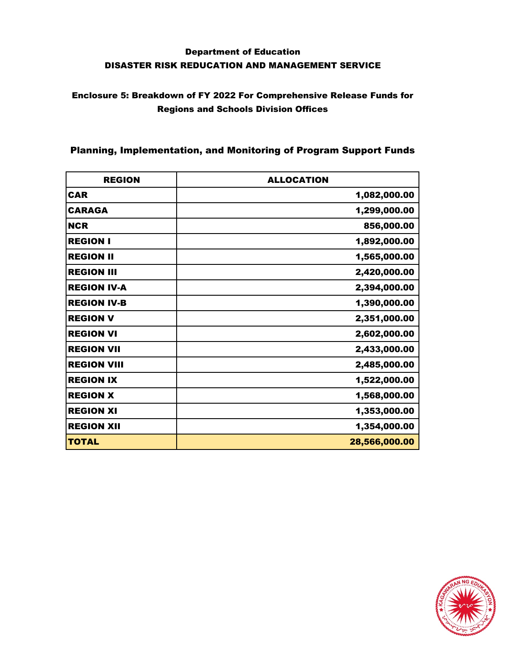## Enclosure 5: Breakdown of FY 2022 For Comprehensive Release Funds for Regions and Schools Division Offices

### Planning, Implementation, and Monitoring of Program Support Funds

| <b>REGION</b>      | <b>ALLOCATION</b> |
|--------------------|-------------------|
| <b>CAR</b>         | 1,082,000.00      |
| <b>CARAGA</b>      | 1,299,000.00      |
| <b>NCR</b>         | 856,000.00        |
| <b>REGION I</b>    | 1,892,000.00      |
| <b>REGION II</b>   | 1,565,000.00      |
| <b>REGION III</b>  | 2,420,000.00      |
| <b>REGION IV-A</b> | 2,394,000.00      |
| <b>REGION IV-B</b> | 1,390,000.00      |
| <b>REGION V</b>    | 2,351,000.00      |
| <b>REGION VI</b>   | 2,602,000.00      |
| <b>REGION VII</b>  | 2,433,000.00      |
| <b>REGION VIII</b> | 2,485,000.00      |
| <b>REGION IX</b>   | 1,522,000.00      |
| <b>REGION X</b>    | 1,568,000.00      |
| <b>REGION XI</b>   | 1,353,000.00      |
| <b>REGION XII</b>  | 1,354,000.00      |
| <b>TOTAL</b>       | 28,566,000.00     |

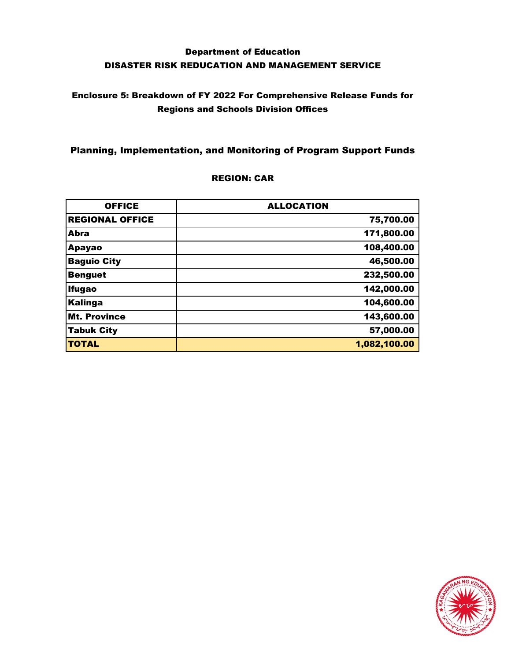## Enclosure 5: Breakdown of FY 2022 For Comprehensive Release Funds for Regions and Schools Division Offices

### Planning, Implementation, and Monitoring of Program Support Funds

#### REGION: CAR

| <b>OFFICE</b>          | <b>ALLOCATION</b> |
|------------------------|-------------------|
| <b>REGIONAL OFFICE</b> | 75,700.00         |
| Abra                   | 171,800.00        |
| <b>Apayao</b>          | 108,400.00        |
| <b>Baguio City</b>     | 46,500.00         |
| <b>Benguet</b>         | 232,500.00        |
| <b>Ifugao</b>          | 142,000.00        |
| <b>Kalinga</b>         | 104,600.00        |
| <b>Mt. Province</b>    | 143,600.00        |
| <b>Tabuk City</b>      | 57,000.00         |
| <b>TOTAL</b>           | 1,082,100.00      |

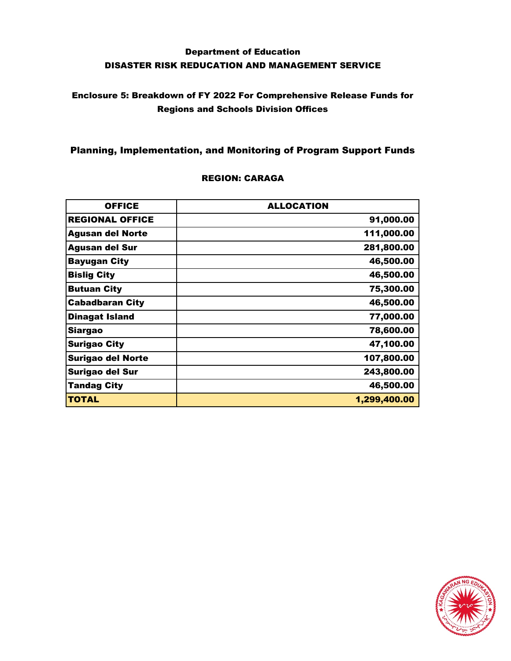### Enclosure 5: Breakdown of FY 2022 For Comprehensive Release Funds for Regions and Schools Division Offices

### Planning, Implementation, and Monitoring of Program Support Funds

| <b>OFFICE</b>            | <b>ALLOCATION</b> |  |  |  |  |
|--------------------------|-------------------|--|--|--|--|
| <b>REGIONAL OFFICE</b>   | 91,000.00         |  |  |  |  |
| <b>Agusan del Norte</b>  | 111,000.00        |  |  |  |  |
| <b>Agusan del Sur</b>    | 281,800.00        |  |  |  |  |
| <b>Bayugan City</b>      | 46,500.00         |  |  |  |  |
| <b>Bislig City</b>       | 46,500.00         |  |  |  |  |
| <b>Butuan City</b>       | 75,300.00         |  |  |  |  |
| <b>Cabadbaran City</b>   | 46,500.00         |  |  |  |  |
| Dinagat Island           | 77,000.00         |  |  |  |  |
| <b>Siargao</b>           | 78,600.00         |  |  |  |  |
| <b>Surigao City</b>      | 47,100.00         |  |  |  |  |
| <b>Surigao del Norte</b> | 107,800.00        |  |  |  |  |
| Surigao del Sur          | 243,800.00        |  |  |  |  |
| <b>Tandag City</b>       | 46,500.00         |  |  |  |  |
| <b>TOTAL</b>             | 1,299,400.00      |  |  |  |  |

#### REGION: CARAGA

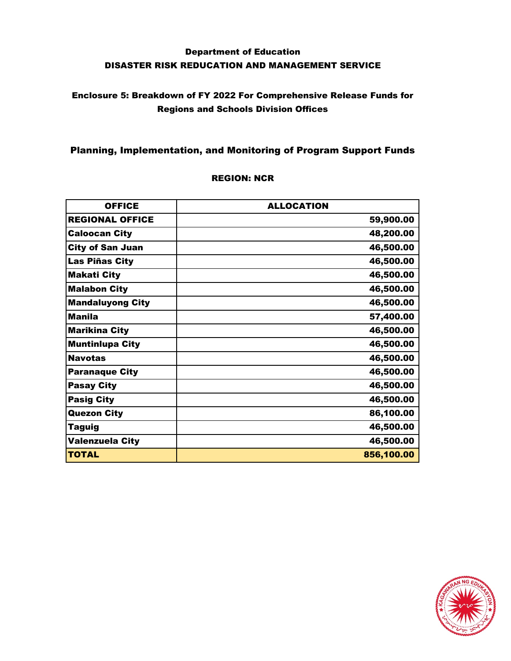## Enclosure 5: Breakdown of FY 2022 For Comprehensive Release Funds for Regions and Schools Division Offices

### Planning, Implementation, and Monitoring of Program Support Funds

| <b>OFFICE</b>           | <b>ALLOCATION</b> |
|-------------------------|-------------------|
| <b>REGIONAL OFFICE</b>  | 59,900.00         |
| <b>Caloocan City</b>    | 48,200.00         |
| <b>City of San Juan</b> | 46,500.00         |
| Las Piñas City          | 46,500.00         |
| <b>Makati City</b>      | 46,500.00         |
| <b>Malabon City</b>     | 46,500.00         |
| <b>Mandaluyong City</b> | 46,500.00         |
| <b>Manila</b>           | 57,400.00         |
| <b>Marikina City</b>    | 46,500.00         |
| <b>Muntinlupa City</b>  | 46,500.00         |
| <b>Navotas</b>          | 46,500.00         |
| <b>Paranaque City</b>   | 46,500.00         |
| <b>Pasay City</b>       | 46,500.00         |
| <b>Pasig City</b>       | 46,500.00         |
| <b>Quezon City</b>      | 86,100.00         |
| Taguig                  | 46,500.00         |
| Valenzuela City         | 46,500.00         |
| <b>TOTAL</b>            | 856,100.00        |

#### REGION: NCR

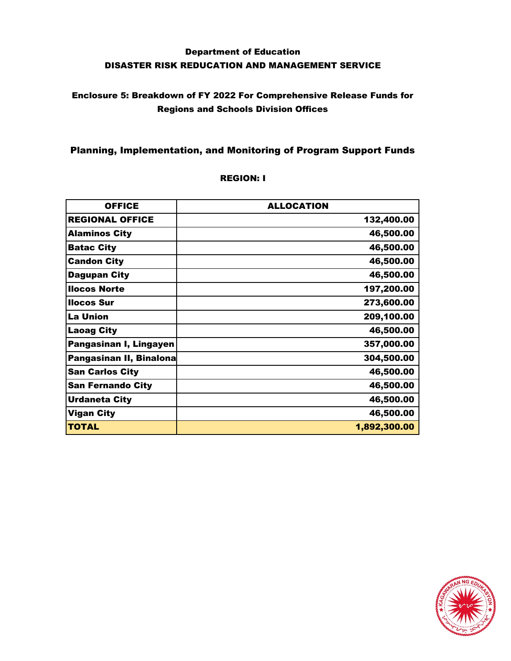## Enclosure 5: Breakdown of FY 2022 For Comprehensive Release Funds for Regions and Schools Division Offices

### Planning, Implementation, and Monitoring of Program Support Funds

| <b>OFFICE</b>            | <b>ALLOCATION</b> |
|--------------------------|-------------------|
| <b>REGIONAL OFFICE</b>   | 132,400.00        |
| <b>Alaminos City</b>     | 46,500.00         |
| <b>Batac City</b>        | 46,500.00         |
| <b>Candon City</b>       | 46,500.00         |
| <b>Dagupan City</b>      | 46,500.00         |
| <b>Ilocos Norte</b>      | 197,200.00        |
| <b>Ilocos Sur</b>        | 273,600.00        |
| <b>La Union</b>          | 209,100.00        |
| <b>Laoag City</b>        | 46,500.00         |
| Pangasinan I, Lingayen   | 357,000.00        |
| Pangasinan II, Binalona  | 304,500.00        |
| <b>San Carlos City</b>   | 46,500.00         |
| <b>San Fernando City</b> | 46,500.00         |
| <b>Urdaneta City</b>     | 46,500.00         |
| <b>Vigan City</b>        | 46,500.00         |
| TOTAL                    | 1,892,300.00      |

#### REGION: I

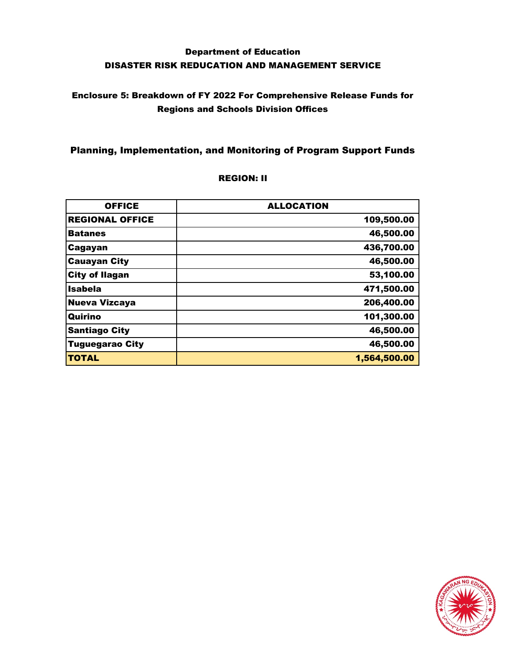## Enclosure 5: Breakdown of FY 2022 For Comprehensive Release Funds for Regions and Schools Division Offices

### Planning, Implementation, and Monitoring of Program Support Funds

| <b>OFFICE</b>          | <b>ALLOCATION</b> |
|------------------------|-------------------|
| <b>REGIONAL OFFICE</b> | 109,500.00        |
| <b>Batanes</b>         | 46,500.00         |
| Cagayan                | 436,700.00        |
| <b>Cauayan City</b>    | 46,500.00         |
| <b>City of Ilagan</b>  | 53,100.00         |
| Isabela                | 471,500.00        |
| <b>Nueva Vizcaya</b>   | 206,400.00        |
| Quirino                | 101,300.00        |
| <b>Santiago City</b>   | 46,500.00         |
| <b>Tuguegarao City</b> | 46,500.00         |
| <b>TOTAL</b>           | 1,564,500.00      |

#### REGION: II

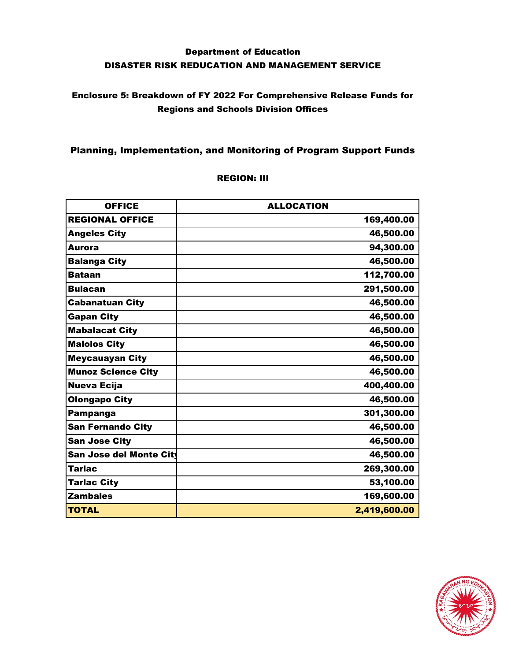## Enclosure 5: Breakdown of FY 2022 For Comprehensive Release Funds for Regions and Schools Division Offices

### Planning, Implementation, and Monitoring of Program Support Funds

#### REGION: III

| <b>OFFICE</b>             | <b>ALLOCATION</b> |
|---------------------------|-------------------|
| <b>REGIONAL OFFICE</b>    | 169,400.00        |
| <b>Angeles City</b>       | 46,500.00         |
| <b>Aurora</b>             | 94,300.00         |
| <b>Balanga City</b>       | 46,500.00         |
| <b>Bataan</b>             | 112,700.00        |
| <b>Bulacan</b>            | 291,500.00        |
| <b>Cabanatuan City</b>    | 46,500.00         |
| <b>Gapan City</b>         | 46,500.00         |
| <b>Mabalacat City</b>     | 46,500.00         |
| <b>Malolos City</b>       | 46,500.00         |
| <b>Meycauayan City</b>    | 46,500.00         |
| <b>Munoz Science City</b> | 46,500.00         |
| <b>Nueva Ecija</b>        | 400,400.00        |
| <b>Olongapo City</b>      | 46,500.00         |
| <b>Pampanga</b>           | 301,300.00        |
| <b>San Fernando City</b>  | 46,500.00         |
| <b>San Jose City</b>      | 46,500.00         |
| San Jose del Monte City   | 46,500.00         |
| <b>Tarlac</b>             | 269,300.00        |
| <b>Tarlac City</b>        | 53,100.00         |
| <b>Zambales</b>           | 169,600.00        |
| <b>TOTAL</b>              | 2,419,600.00      |

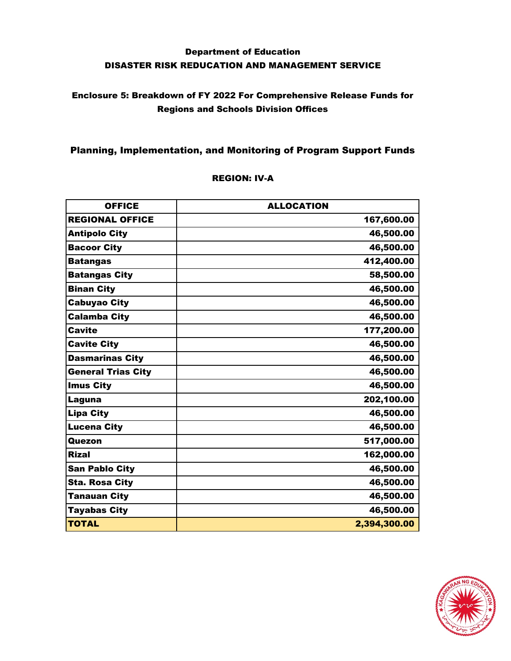### Enclosure 5: Breakdown of FY 2022 For Comprehensive Release Funds for Regions and Schools Division Offices

### Planning, Implementation, and Monitoring of Program Support Funds

#### REGION: IV-A

| <b>OFFICE</b>             | <b>ALLOCATION</b> |
|---------------------------|-------------------|
| <b>REGIONAL OFFICE</b>    | 167,600.00        |
| <b>Antipolo City</b>      | 46,500.00         |
| <b>Bacoor City</b>        | 46,500.00         |
| <b>Batangas</b>           | 412,400.00        |
| <b>Batangas City</b>      | 58,500.00         |
| <b>Binan City</b>         | 46,500.00         |
| <b>Cabuyao City</b>       | 46,500.00         |
| <b>Calamba City</b>       | 46,500.00         |
| <b>Cavite</b>             | 177,200.00        |
| <b>Cavite City</b>        | 46,500.00         |
| <b>Dasmarinas City</b>    | 46,500.00         |
| <b>General Trias City</b> | 46,500.00         |
| <b>Imus City</b>          | 46,500.00         |
| Laguna                    | 202,100.00        |
| <b>Lipa City</b>          | 46,500.00         |
| <b>Lucena City</b>        | 46,500.00         |
| Quezon                    | 517,000.00        |
| <b>Rizal</b>              | 162,000.00        |
| <b>San Pablo City</b>     | 46,500.00         |
| <b>Sta. Rosa City</b>     | 46,500.00         |
| <b>Tanauan City</b>       | 46,500.00         |
| <b>Tayabas City</b>       | 46,500.00         |
| <b>TOTAL</b>              | 2,394,300.00      |

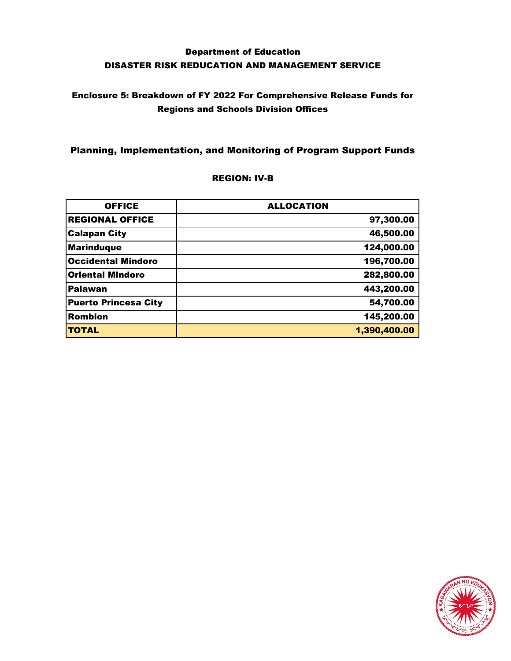### Enclosure 5: Breakdown of FY 2022 For Comprehensive Release Funds for Regions and Schools Division Offices

### Planning, Implementation, and Monitoring of Program Support Funds

#### REGION: IV-B

| <b>OFFICE</b>               | <b>ALLOCATION</b> |
|-----------------------------|-------------------|
| <b>REGIONAL OFFICE</b>      | 97,300.00         |
| <b>Calapan City</b>         | 46,500.00         |
| <b>Marinduque</b>           | 124,000.00        |
| <b>Occidental Mindoro</b>   | 196,700.00        |
| <b>Oriental Mindoro</b>     | 282,800.00        |
| Palawan                     | 443,200.00        |
| <b>Puerto Princesa City</b> | 54,700.00         |
| Romblon                     | 145,200.00        |
| <b>TOTAL</b>                | 1,390,400.00      |

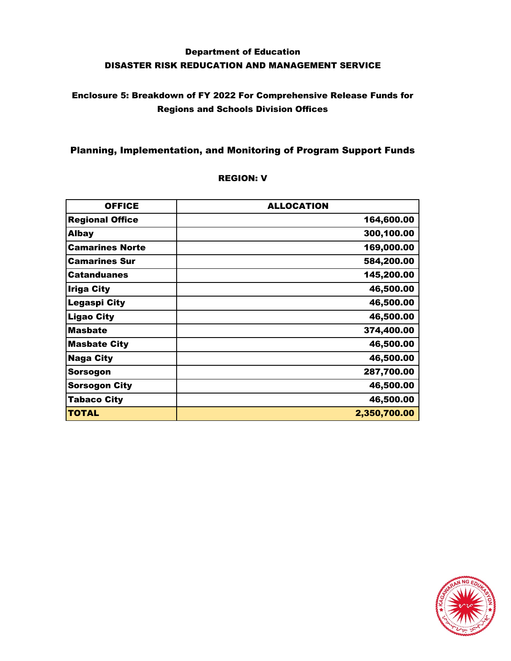## Enclosure 5: Breakdown of FY 2022 For Comprehensive Release Funds for Regions and Schools Division Offices

### Planning, Implementation, and Monitoring of Program Support Funds

| <b>OFFICE</b>          | <b>ALLOCATION</b> |
|------------------------|-------------------|
| <b>Regional Office</b> | 164,600.00        |
| <b>Albay</b>           | 300,100.00        |
| <b>Camarines Norte</b> | 169,000.00        |
| <b>Camarines Sur</b>   | 584,200.00        |
| Catanduanes            | 145,200.00        |
| Iriga City             | 46,500.00         |
| Legaspi City           | 46,500.00         |
| <b>Ligao City</b>      | 46,500.00         |
| <b>Masbate</b>         | 374,400.00        |
| <b>Masbate City</b>    | 46,500.00         |
| <b>Naga City</b>       | 46,500.00         |
| Sorsogon               | 287,700.00        |
| <b>Sorsogon City</b>   | 46,500.00         |
| <b>Tabaco City</b>     | 46,500.00         |
| <b>TOTAL</b>           | 2,350,700.00      |

#### REGION: V

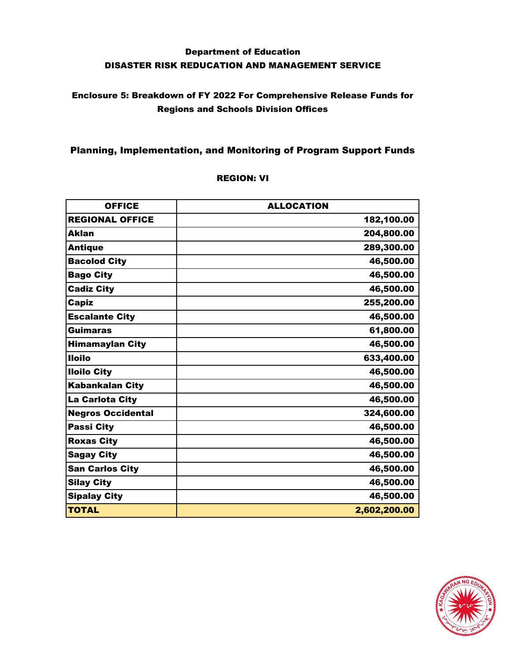### Enclosure 5: Breakdown of FY 2022 For Comprehensive Release Funds for Regions and Schools Division Offices

### Planning, Implementation, and Monitoring of Program Support Funds

#### REGION: VI

| <b>OFFICE</b>            | <b>ALLOCATION</b> |
|--------------------------|-------------------|
| <b>REGIONAL OFFICE</b>   | 182,100.00        |
| <b>Aklan</b>             | 204,800.00        |
| <b>Antique</b>           | 289,300.00        |
| <b>Bacolod City</b>      | 46,500.00         |
| <b>Bago City</b>         | 46,500.00         |
| <b>Cadiz City</b>        | 46,500.00         |
| <b>Capiz</b>             | 255,200.00        |
| <b>Escalante City</b>    | 46,500.00         |
| <b>Guimaras</b>          | 61,800.00         |
| <b>Himamaylan City</b>   | 46,500.00         |
| <b>Iloilo</b>            | 633,400.00        |
| <b>Iloilo City</b>       | 46,500.00         |
| <b>Kabankalan City</b>   | 46,500.00         |
| La Carlota City          | 46,500.00         |
| <b>Negros Occidental</b> | 324,600.00        |
| <b>Passi City</b>        | 46,500.00         |
| <b>Roxas City</b>        | 46,500.00         |
| <b>Sagay City</b>        | 46,500.00         |
| <b>San Carlos City</b>   | 46,500.00         |
| <b>Silay City</b>        | 46,500.00         |
| <b>Sipalay City</b>      | 46,500.00         |
| <b>TOTAL</b>             | 2,602,200.00      |

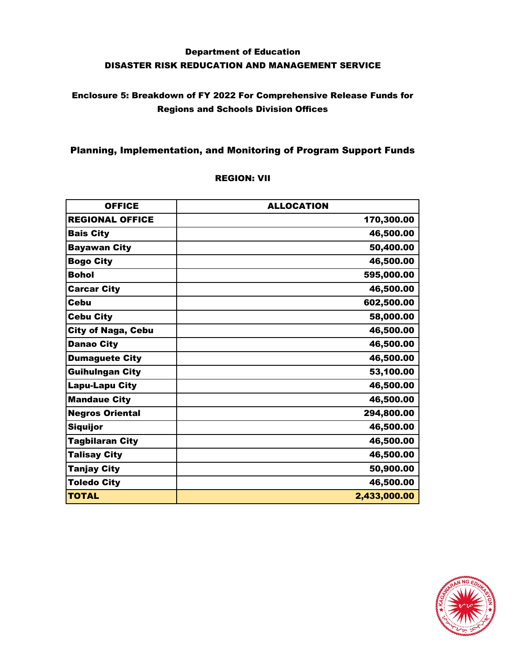## Enclosure 5: Breakdown of FY 2022 For Comprehensive Release Funds for Regions and Schools Division Offices

### Planning, Implementation, and Monitoring of Program Support Funds

#### REGION: VII

| <b>OFFICE</b>             | <b>ALLOCATION</b> |
|---------------------------|-------------------|
| <b>REGIONAL OFFICE</b>    | 170,300.00        |
| <b>Bais City</b>          | 46,500.00         |
| <b>Bayawan City</b>       | 50,400.00         |
| <b>Bogo City</b>          | 46,500.00         |
| <b>Bohol</b>              | 595,000.00        |
| <b>Carcar City</b>        | 46,500.00         |
| <b>Cebu</b>               | 602,500.00        |
| <b>Cebu City</b>          | 58,000.00         |
| <b>City of Naga, Cebu</b> | 46,500.00         |
| <b>Danao City</b>         | 46,500.00         |
| <b>Dumaguete City</b>     | 46,500.00         |
| <b>Guihulngan City</b>    | 53,100.00         |
| <b>Lapu-Lapu City</b>     | 46,500.00         |
| <b>Mandaue City</b>       | 46,500.00         |
| <b>Negros Oriental</b>    | 294,800.00        |
| <b>Siquijor</b>           | 46,500.00         |
| <b>Tagbilaran City</b>    | 46,500.00         |
| <b>Talisay City</b>       | 46,500.00         |
| Tanjay City               | 50,900.00         |
| <b>Toledo City</b>        | 46,500.00         |
| <b>TOTAL</b>              | 2,433,000.00      |

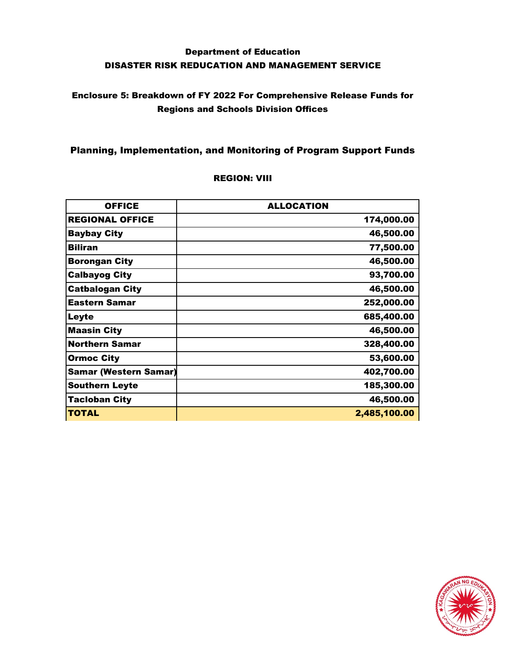## Enclosure 5: Breakdown of FY 2022 For Comprehensive Release Funds for Regions and Schools Division Offices

### Planning, Implementation, and Monitoring of Program Support Funds

| <b>OFFICE</b>                | <b>ALLOCATION</b> |
|------------------------------|-------------------|
| <b>REGIONAL OFFICE</b>       | 174,000.00        |
| <b>Baybay City</b>           | 46,500.00         |
| <b>Biliran</b>               | 77,500.00         |
| <b>Borongan City</b>         | 46,500.00         |
| <b>Calbayog City</b>         | 93,700.00         |
| <b>Catbalogan City</b>       | 46,500.00         |
| <b>Eastern Samar</b>         | 252,000.00        |
| Leyte                        | 685,400.00        |
| <b>Maasin City</b>           | 46,500.00         |
| <b>Northern Samar</b>        | 328,400.00        |
| <b>Ormoc City</b>            | 53,600.00         |
| <b>Samar (Western Samar)</b> | 402,700.00        |
| <b>Southern Leyte</b>        | 185,300.00        |
| <b>Tacloban City</b>         | 46,500.00         |
| <b>TOTAL</b>                 | 2,485,100.00      |

#### REGION: VIII

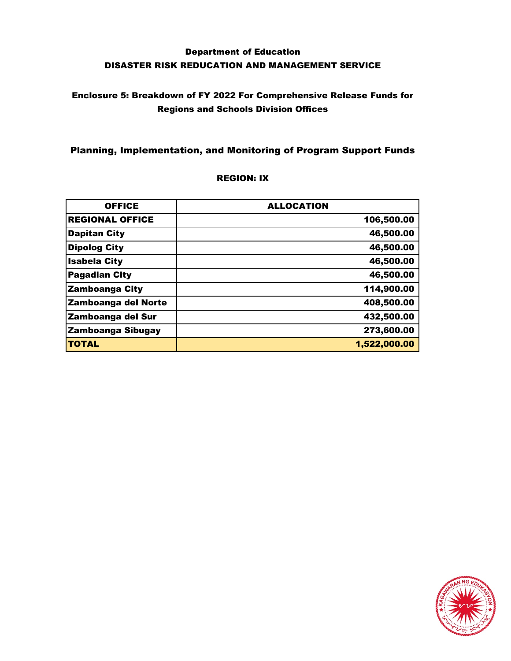## Enclosure 5: Breakdown of FY 2022 For Comprehensive Release Funds for Regions and Schools Division Offices

### Planning, Implementation, and Monitoring of Program Support Funds

#### REGION: IX

| <b>OFFICE</b>            | <b>ALLOCATION</b> |
|--------------------------|-------------------|
| <b>REGIONAL OFFICE</b>   | 106,500.00        |
| <b>Dapitan City</b>      | 46,500.00         |
| <b>Dipolog City</b>      | 46,500.00         |
| <b>Isabela City</b>      | 46,500.00         |
| <b>Pagadian City</b>     | 46,500.00         |
| <b>Zamboanga City</b>    | 114,900.00        |
| Zamboanga del Norte      | 408,500.00        |
| <b>Zamboanga del Sur</b> | 432,500.00        |
| <b>Zamboanga Sibugay</b> | 273,600.00        |
| <b>TOTAL</b>             | 1,522,000.00      |

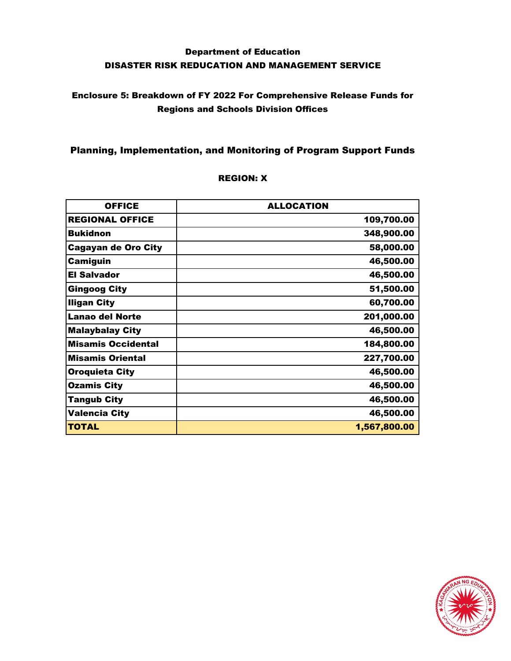## Enclosure 5: Breakdown of FY 2022 For Comprehensive Release Funds for Regions and Schools Division Offices

### Planning, Implementation, and Monitoring of Program Support Funds

| <b>OFFICE</b>              | <b>ALLOCATION</b> |
|----------------------------|-------------------|
| <b>REGIONAL OFFICE</b>     | 109,700.00        |
| <b>Bukidnon</b>            | 348,900.00        |
| <b>Cagayan de Oro City</b> | 58,000.00         |
| <b>Camiguin</b>            | 46,500.00         |
| <b>El Salvador</b>         | 46,500.00         |
| <b>Gingoog City</b>        | 51,500.00         |
| <b>Iligan City</b>         | 60,700.00         |
| <b>Lanao del Norte</b>     | 201,000.00        |
| <b>Malaybalay City</b>     | 46,500.00         |
| <b>Misamis Occidental</b>  | 184,800.00        |
| <b>Misamis Oriental</b>    | 227,700.00        |
| <b>Oroquieta City</b>      | 46,500.00         |
| <b>Ozamis City</b>         | 46,500.00         |
| <b>Tangub City</b>         | 46,500.00         |
| <b>Valencia City</b>       | 46,500.00         |
| <b>TOTAL</b>               | 1,567,800.00      |

#### REGION: X

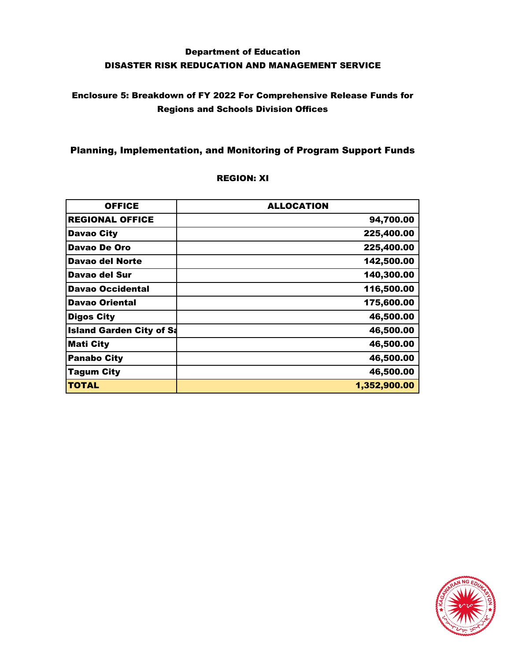## Enclosure 5: Breakdown of FY 2022 For Comprehensive Release Funds for Regions and Schools Division Offices

### Planning, Implementation, and Monitoring of Program Support Funds

| <b>OFFICE</b>                   | <b>ALLOCATION</b> |
|---------------------------------|-------------------|
| <b>REGIONAL OFFICE</b>          | 94,700.00         |
| <b>Davao City</b>               | 225,400.00        |
| Davao De Oro                    | 225,400.00        |
| Davao del Norte                 | 142,500.00        |
| Davao del Sur                   | 140,300.00        |
| <b>Davao Occidental</b>         | 116,500.00        |
| <b>Davao Oriental</b>           | 175,600.00        |
| <b>Digos City</b>               | 46,500.00         |
| <b>Island Garden City of Sa</b> | 46,500.00         |
| <b>Mati City</b>                | 46,500.00         |
| <b>Panabo City</b>              | 46,500.00         |
| <b>Tagum City</b>               | 46,500.00         |
| <b>TOTAL</b>                    | 1,352,900.00      |

#### REGION: XI